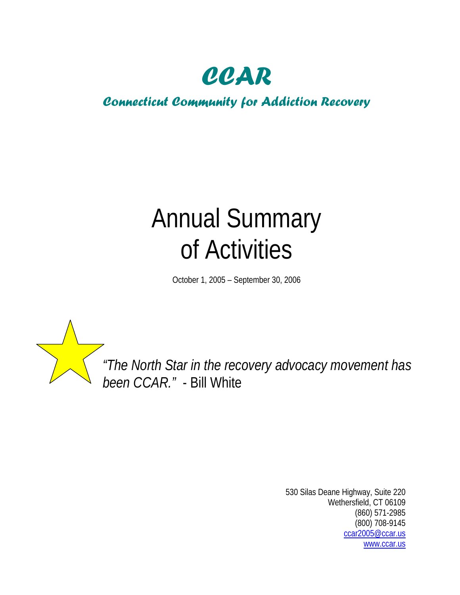

# *Connecticut Community for Addiction Recovery*

# Annual Summary of Activities

October 1, 2005 – September 30, 2006



*"The North Star in the recovery advocacy movement has been CCAR."* - Bill White

> 530 Silas Deane Highway, Suite 220 Wethersfield, CT 06109 (860) 571-2985 (800) 708-9145 [ccar2005@ccar.us](mailto:ccar2005@ccar.us) [www.ccar.us](http://www.ccar.us/)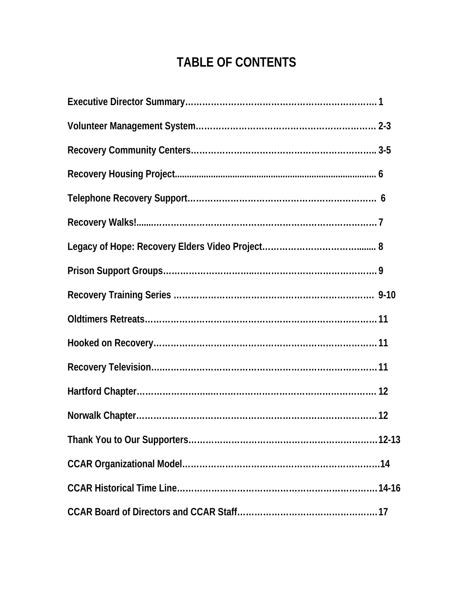# **TABLE OF CONTENTS**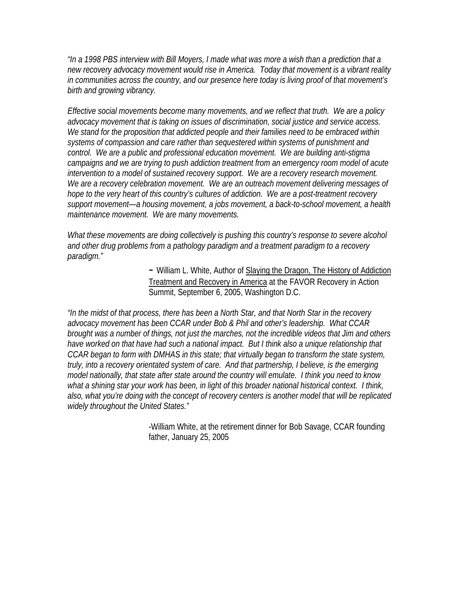*"In a 1998 PBS interview with Bill Moyers, I made what was more a wish than a prediction that a new recovery advocacy movement would rise in America. Today that movement is a vibrant reality in communities across the country, and our presence here today is living proof of that movement's birth and growing vibrancy.* 

*Effective social movements become many movements, and we reflect that truth. We are a policy advocacy movement that is taking on issues of discrimination, social justice and service access. We stand for the proposition that addicted people and their families need to be embraced within systems of compassion and care rather than sequestered within systems of punishment and control. We are a public and professional education movement. We are building anti-stigma campaigns and we are trying to push addiction treatment from an emergency room model of acute intervention to a model of sustained recovery support. We are a recovery research movement. We are a recovery celebration movement. We are an outreach movement delivering messages of hope to the very heart of this country's cultures of addiction. We are a post-treatment recovery support movement—a housing movement, a jobs movement, a back-to-school movement, a health maintenance movement. We are many movements.* 

*What these movements are doing collectively is pushing this country's response to severe alcohol and other drug problems from a pathology paradigm and a treatment paradigm to a recovery paradigm."* 

> *-* William L. White, Author of Slaying the Dragon, The History of Addiction Treatment and Recovery in America at the FAVOR Recovery in Action Summit, September 6, 2005, Washington D.C.

*"In the midst of that process, there has been a North Star, and that North Star in the recovery advocacy movement has been CCAR under Bob & Phil and other's leadership. What CCAR brought was a number of things, not just the marches, not the incredible videos that Jim and others have worked on that have had such a national impact. But I think also a unique relationship that CCAR began to form with DMHAS in this state; that virtually began to transform the state system, truly, into a recovery orientated system of care. And that partnership, I believe, is the emerging model nationally, that state after state around the country will emulate. I think you need to know what a shining star your work has been, in light of this broader national historical context. I think, also, what you're doing with the concept of recovery centers is another model that will be replicated widely throughout the United States."* 

> -William White, at the retirement dinner for Bob Savage, CCAR founding father, January 25, 2005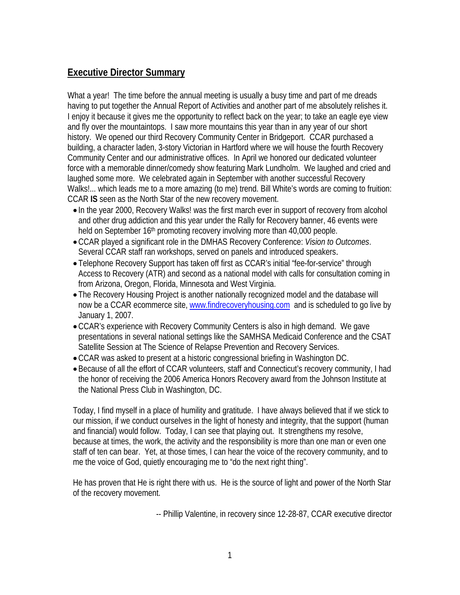#### **Executive Director Summary**

What a year! The time before the annual meeting is usually a busy time and part of me dreads having to put together the Annual Report of Activities and another part of me absolutely relishes it. I enjoy it because it gives me the opportunity to reflect back on the year; to take an eagle eye view and fly over the mountaintops. I saw more mountains this year than in any year of our short history. We opened our third Recovery Community Center in Bridgeport. CCAR purchased a building, a character laden, 3-story Victorian in Hartford where we will house the fourth Recovery Community Center and our administrative offices. In April we honored our dedicated volunteer force with a memorable dinner/comedy show featuring Mark Lundholm. We laughed and cried and laughed some more. We celebrated again in September with another successful Recovery Walks!... which leads me to a more amazing (to me) trend. Bill White's words are coming to fruition: CCAR **IS** seen as the North Star of the new recovery movement.

- In the year 2000, Recovery Walks! was the first march ever in support of recovery from alcohol and other drug addiction and this year under the Rally for Recovery banner, 46 events were held on September 16<sup>th</sup> promoting recovery involving more than 40,000 people.
- CCAR played a significant role in the DMHAS Recovery Conference: *Vision to Outcomes*. Several CCAR staff ran workshops, served on panels and introduced speakers.
- Telephone Recovery Support has taken off first as CCAR's initial "fee-for-service" through Access to Recovery (ATR) and second as a national model with calls for consultation coming in from Arizona, Oregon, Florida, Minnesota and West Virginia.
- The Recovery Housing Project is another nationally recognized model and the database will now be a CCAR ecommerce site, [www.findrecoveryhousing.com](http://www.findrecoveryhousing.com/) and is scheduled to go live by January 1, 2007.
- CCAR's experience with Recovery Community Centers is also in high demand. We gave presentations in several national settings like the SAMHSA Medicaid Conference and the CSAT Satellite Session at The Science of Relapse Prevention and Recovery Services.
- CCAR was asked to present at a historic congressional briefing in Washington DC.
- Because of all the effort of CCAR volunteers, staff and Connecticut's recovery community, I had the honor of receiving the 2006 America Honors Recovery award from the Johnson Institute at the National Press Club in Washington, DC.

Today, I find myself in a place of humility and gratitude. I have always believed that if we stick to our mission, if we conduct ourselves in the light of honesty and integrity, that the support (human and financial) would follow. Today, I can see that playing out. It strengthens my resolve, because at times, the work, the activity and the responsibility is more than one man or even one staff of ten can bear. Yet, at those times, I can hear the voice of the recovery community, and to me the voice of God, quietly encouraging me to "do the next right thing".

He has proven that He is right there with us. He is the source of light and power of the North Star of the recovery movement.

-- Phillip Valentine, in recovery since 12-28-87, CCAR executive director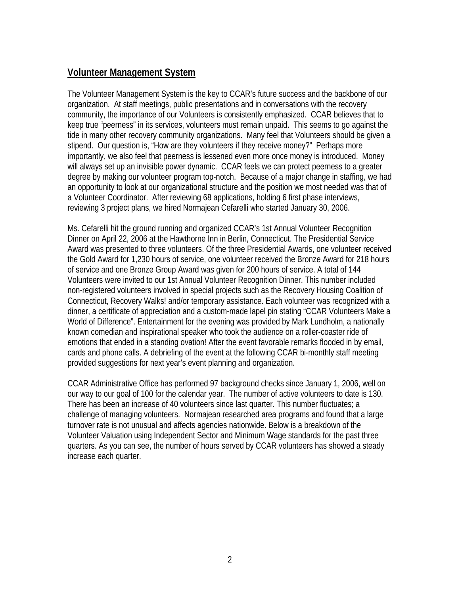#### **Volunteer Management System**

The Volunteer Management System is the key to CCAR's future success and the backbone of our organization. At staff meetings, public presentations and in conversations with the recovery community, the importance of our Volunteers is consistently emphasized. CCAR believes that to keep true "peerness" in its services, volunteers must remain unpaid. This seems to go against the tide in many other recovery community organizations. Many feel that Volunteers should be given a stipend. Our question is, "How are they volunteers if they receive money?" Perhaps more importantly, we also feel that peerness is lessened even more once money is introduced. Money will always set up an invisible power dynamic. CCAR feels we can protect peerness to a greater degree by making our volunteer program top-notch. Because of a major change in staffing, we had an opportunity to look at our organizational structure and the position we most needed was that of a Volunteer Coordinator. After reviewing 68 applications, holding 6 first phase interviews, reviewing 3 project plans, we hired Normajean Cefarelli who started January 30, 2006.

Ms. Cefarelli hit the ground running and organized CCAR's 1st Annual Volunteer Recognition Dinner on April 22, 2006 at the Hawthorne Inn in Berlin, Connecticut. The Presidential Service Award was presented to three volunteers. Of the three Presidential Awards, one volunteer received the Gold Award for 1,230 hours of service, one volunteer received the Bronze Award for 218 hours of service and one Bronze Group Award was given for 200 hours of service. A total of 144 Volunteers were invited to our 1st Annual Volunteer Recognition Dinner. This number included non-registered volunteers involved in special projects such as the Recovery Housing Coalition of Connecticut, Recovery Walks! and/or temporary assistance. Each volunteer was recognized with a dinner, a certificate of appreciation and a custom-made lapel pin stating "CCAR Volunteers Make a World of Difference". Entertainment for the evening was provided by Mark Lundholm, a nationally known comedian and inspirational speaker who took the audience on a roller-coaster ride of emotions that ended in a standing ovation! After the event favorable remarks flooded in by email, cards and phone calls. A debriefing of the event at the following CCAR bi-monthly staff meeting provided suggestions for next year's event planning and organization.

CCAR Administrative Office has performed 97 background checks since January 1, 2006, well on our way to our goal of 100 for the calendar year. The number of active volunteers to date is 130. There has been an increase of 40 volunteers since last quarter. This number fluctuates; a challenge of managing volunteers. Normajean researched area programs and found that a large turnover rate is not unusual and affects agencies nationwide. Below is a breakdown of the Volunteer Valuation using Independent Sector and Minimum Wage standards for the past three quarters. As you can see, the number of hours served by CCAR volunteers has showed a steady increase each quarter.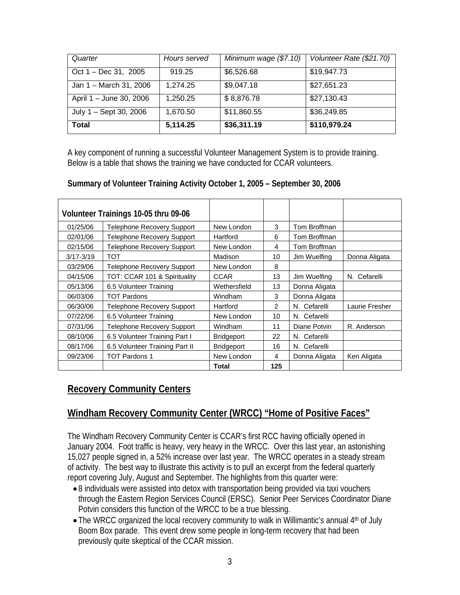| Quarter                 | Hours served | Minimum wage (\$7.10) | Volunteer Rate (\$21.70) |
|-------------------------|--------------|-----------------------|--------------------------|
| Oct 1 – Dec 31, 2005    | 919.25       | \$6,526.68            | \$19,947.73              |
| Jan 1 - March 31, 2006  | 1,274.25     | \$9,047.18            | \$27,651.23              |
| April 1 - June 30, 2006 | 1,250.25     | \$8,876.78            | \$27,130.43              |
| July 1 - Sept 30, 2006  | 1,670.50     | \$11,860.55           | \$36,249.85              |
| <b>Total</b>            | 5,114.25     | \$36,311.19           | \$110,979.24             |

A key component of running a successful Volunteer Management System is to provide training. Below is a table that shows the training we have conducted for CCAR volunteers.

#### **Summary of Volunteer Training Activity October 1, 2005 – September 30, 2006**

|               | Volunteer Trainings 10-05 thru 09-06 |                   |     |               |                |
|---------------|--------------------------------------|-------------------|-----|---------------|----------------|
| 01/25/06      | <b>Telephone Recovery Support</b>    | New London        | 3   | Tom Broffman  |                |
| 02/01/06      | <b>Telephone Recovery Support</b>    | Hartford          | 6   | Tom Broffman  |                |
| 02/15/06      | Telephone Recovery Support           | New London        | 4   | Tom Broffman  |                |
| $3/17 - 3/19$ | TOT                                  | Madison           | 10  | Jim Wuelfing  | Donna Aligata  |
| 03/29/06      | <b>Telephone Recovery Support</b>    | New London        | 8   |               |                |
| 04/15/06      | TOT: CCAR 101 & Spirituality         | <b>CCAR</b>       | 13  | Jim Wuelfing  | N. Cefarelli   |
| 05/13/06      | 6.5 Volunteer Training               | Wethersfield      | 13  | Donna Aligata |                |
| 06/03/06      | <b>TOT Pardons</b>                   | Windham           | 3   | Donna Aligata |                |
| 06/30/06      | <b>Telephone Recovery Support</b>    | Hartford          | 2   | N. Cefarelli  | Laurie Fresher |
| 07/22/06      | 6.5 Volunteer Training               | New London        | 10  | N. Cefarelli  |                |
| 07/31/06      | <b>Telephone Recovery Support</b>    | Windham           | 11  | Diane Potvin  | R. Anderson    |
| 08/10/06      | 6.5 Volunteer Training Part I        | <b>Bridgeport</b> | 22  | N. Cefarelli  |                |
| 08/17/06      | 6.5 Volunteer Training Part II       | <b>Bridgeport</b> | 16  | N. Cefarelli  |                |
| 09/23/06      | <b>TOT Pardons 1</b>                 | New London        | 4   | Donna Aligata | Ken Aligata    |
|               |                                      | Total             | 125 |               |                |

#### **Recovery Community Centers**

## **Windham Recovery Community Center (WRCC) "Home of Positive Faces"**

The Windham Recovery Community Center is CCAR's first RCC having officially opened in January 2004. Foot traffic is heavy, very heavy in the WRCC. Over this last year, an astonishing 15,027 people signed in, a 52% increase over last year. The WRCC operates in a steady stream of activity. The best way to illustrate this activity is to pull an excerpt from the federal quarterly report covering July, August and September. The highlights from this quarter were:

- 8 individuals were assisted into detox with transportation being provided via taxi vouchers through the Eastern Region Services Council (ERSC). Senior Peer Services Coordinator Diane Potvin considers this function of the WRCC to be a true blessing.
- The WRCC organized the local recovery community to walk in Willimantic's annual 4<sup>th</sup> of July Boom Box parade. This event drew some people in long-term recovery that had been previously quite skeptical of the CCAR mission.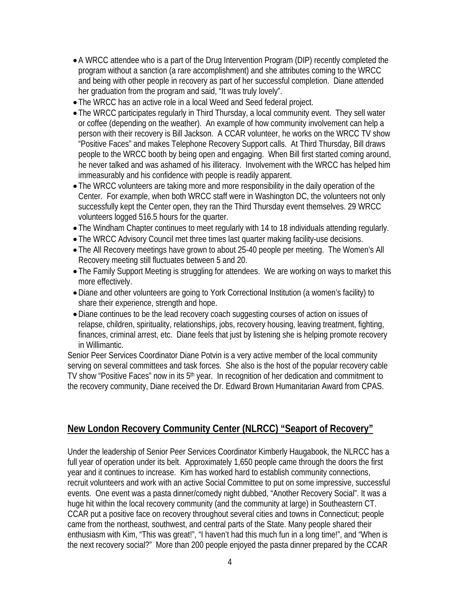- A WRCC attendee who is a part of the Drug Intervention Program (DIP) recently completed the program without a sanction (a rare accomplishment) and she attributes coming to the WRCC and being with other people in recovery as part of her successful completion. Diane attended her graduation from the program and said, "It was truly lovely".
- The WRCC has an active role in a local Weed and Seed federal project.
- The WRCC participates regularly in Third Thursday, a local community event. They sell water or coffee (depending on the weather). An example of how community involvement can help a person with their recovery is Bill Jackson. A CCAR volunteer, he works on the WRCC TV show "Positive Faces" and makes Telephone Recovery Support calls. At Third Thursday, Bill draws people to the WRCC booth by being open and engaging. When Bill first started coming around, he never talked and was ashamed of his illiteracy. Involvement with the WRCC has helped him immeasurably and his confidence with people is readily apparent.
- The WRCC volunteers are taking more and more responsibility in the daily operation of the Center. For example, when both WRCC staff were in Washington DC, the volunteers not only successfully kept the Center open, they ran the Third Thursday event themselves. 29 WRCC volunteers logged 516.5 hours for the quarter.
- The Windham Chapter continues to meet regularly with 14 to 18 individuals attending regularly.
- The WRCC Advisory Council met three times last quarter making facility-use decisions.
- The All Recovery meetings have grown to about 25-40 people per meeting. The Women's All Recovery meeting still fluctuates between 5 and 20.
- The Family Support Meeting is struggling for attendees. We are working on ways to market this more effectively.
- Diane and other volunteers are going to York Correctional Institution (a women's facility) to share their experience, strength and hope.
- Diane continues to be the lead recovery coach suggesting courses of action on issues of relapse, children, spirituality, relationships, jobs, recovery housing, leaving treatment, fighting, finances, criminal arrest, etc. Diane feels that just by listening she is helping promote recovery in Willimantic.

Senior Peer Services Coordinator Diane Potvin is a very active member of the local community serving on several committees and task forces. She also is the host of the popular recovery cable TV show "Positive Faces" now in its 5<sup>th</sup> year. In recognition of her dedication and commitment to the recovery community, Diane received the Dr. Edward Brown Humanitarian Award from CPAS.

#### **New London Recovery Community Center (NLRCC) "Seaport of Recovery"**

Under the leadership of Senior Peer Services Coordinator Kimberly Haugabook, the NLRCC has a full year of operation under its belt. Approximately 1,650 people came through the doors the first year and it continues to increase. Kim has worked hard to establish community connections, recruit volunteers and work with an active Social Committee to put on some impressive, successful events. One event was a pasta dinner/comedy night dubbed, "Another Recovery Social". It was a huge hit within the local recovery community (and the community at large) in Southeastern CT. CCAR put a positive face on recovery throughout several cities and towns in Connecticut; people came from the northeast, southwest, and central parts of the State. Many people shared their enthusiasm with Kim, "This was great!", "I haven't had this much fun in a long time!", and "When is the next recovery social?" More than 200 people enjoyed the pasta dinner prepared by the CCAR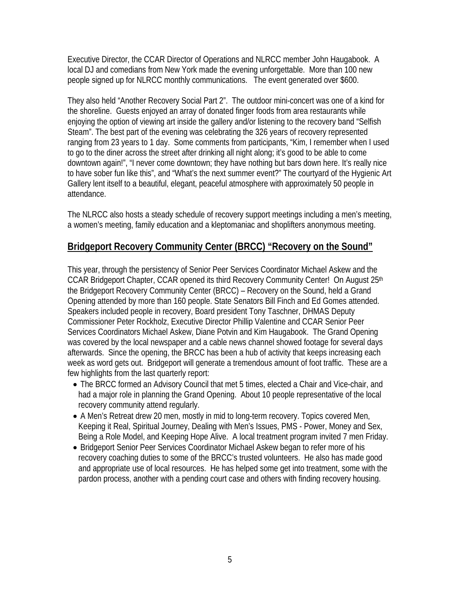Executive Director, the CCAR Director of Operations and NLRCC member John Haugabook. A local DJ and comedians from New York made the evening unforgettable. More than 100 new people signed up for NLRCC monthly communications. The event generated over \$600.

They also held "Another Recovery Social Part 2". The outdoor mini-concert was one of a kind for the shoreline. Guests enjoyed an array of donated finger foods from area restaurants while enjoying the option of viewing art inside the gallery and/or listening to the recovery band "Selfish Steam". The best part of the evening was celebrating the 326 years of recovery represented ranging from 23 years to 1 day. Some comments from participants, "Kim, I remember when I used to go to the diner across the street after drinking all night along; it's good to be able to come downtown again!", "I never come downtown; they have nothing but bars down here. It's really nice to have sober fun like this", and "What's the next summer event?" The courtyard of the Hygienic Art Gallery lent itself to a beautiful, elegant, peaceful atmosphere with approximately 50 people in attendance.

The NLRCC also hosts a steady schedule of recovery support meetings including a men's meeting, a women's meeting, family education and a kleptomaniac and shoplifters anonymous meeting.

#### **Bridgeport Recovery Community Center (BRCC) "Recovery on the Sound"**

This year, through the persistency of Senior Peer Services Coordinator Michael Askew and the CCAR Bridgeport Chapter, CCAR opened its third Recovery Community Center! On August 25<sup>th</sup> the Bridgeport Recovery Community Center (BRCC) – Recovery on the Sound, held a Grand Opening attended by more than 160 people. State Senators Bill Finch and Ed Gomes attended. Speakers included people in recovery, Board president Tony Taschner, DHMAS Deputy Commissioner Peter Rockholz, Executive Director Phillip Valentine and CCAR Senior Peer Services Coordinators Michael Askew, Diane Potvin and Kim Haugabook. The Grand Opening was covered by the local newspaper and a cable news channel showed footage for several days afterwards. Since the opening, the BRCC has been a hub of activity that keeps increasing each week as word gets out. Bridgeport will generate a tremendous amount of foot traffic. These are a few highlights from the last quarterly report:

- The BRCC formed an Advisory Council that met 5 times, elected a Chair and Vice-chair, and had a major role in planning the Grand Opening. About 10 people representative of the local recovery community attend regularly.
- A Men's Retreat drew 20 men, mostly in mid to long-term recovery. Topics covered Men, Keeping it Real, Spiritual Journey, Dealing with Men's Issues, PMS - Power, Money and Sex, Being a Role Model, and Keeping Hope Alive. A local treatment program invited 7 men Friday.
- Bridgeport Senior Peer Services Coordinator Michael Askew began to refer more of his recovery coaching duties to some of the BRCC's trusted volunteers. He also has made good and appropriate use of local resources. He has helped some get into treatment, some with the pardon process, another with a pending court case and others with finding recovery housing.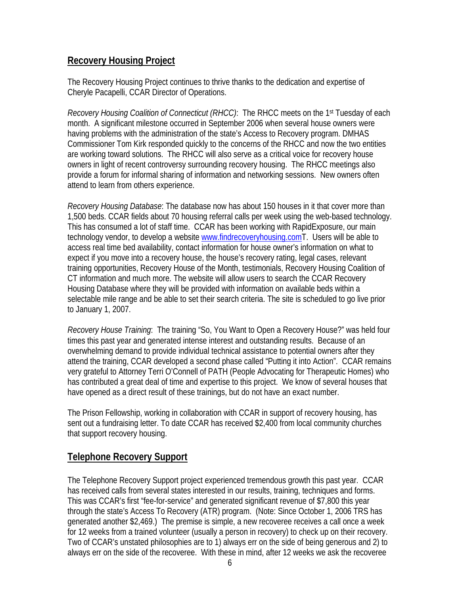#### **Recovery Housing Project**

The Recovery Housing Project continues to thrive thanks to the dedication and expertise of Cheryle Pacapelli, CCAR Director of Operations.

*Recovery Housing Coalition of Connecticut (RHCC)*: The RHCC meets on the 1<sup>st</sup> Tuesday of each month. A significant milestone occurred in September 2006 when several house owners were having problems with the administration of the state's Access to Recovery program. DMHAS Commissioner Tom Kirk responded quickly to the concerns of the RHCC and now the two entities are working toward solutions. The RHCC will also serve as a critical voice for recovery house owners in light of recent controversy surrounding recovery housing. The RHCC meetings also provide a forum for informal sharing of information and networking sessions. New owners often attend to learn from others experience.

*Recovery Housing Database*: The database now has about 150 houses in it that cover more than 1,500 beds. CCAR fields about 70 housing referral calls per week using the web-based technology. This has consumed a lot of staff time. CCAR has been working with RapidExposure, our main technology vendor, to develop a website [www.findrecoveryhousing.comT.](http://www.findrecoveryhousing.com/) Users will be able to access real time bed availability, contact information for house owner's information on what to expect if you move into a recovery house, the house's recovery rating, legal cases, relevant training opportunities, Recovery House of the Month, testimonials, Recovery Housing Coalition of CT information and much more. The website will allow users to search the CCAR Recovery Housing Database where they will be provided with information on available beds within a selectable mile range and be able to set their search criteria. The site is scheduled to go live prior to January 1, 2007.

*Recovery House Training*: The training "So, You Want to Open a Recovery House?" was held four times this past year and generated intense interest and outstanding results. Because of an overwhelming demand to provide individual technical assistance to potential owners after they attend the training, CCAR developed a second phase called "Putting it into Action". CCAR remains very grateful to Attorney Terri O'Connell of PATH (People Advocating for Therapeutic Homes) who has contributed a great deal of time and expertise to this project. We know of several houses that have opened as a direct result of these trainings, but do not have an exact number.

The Prison Fellowship, working in collaboration with CCAR in support of recovery housing, has sent out a fundraising letter. To date CCAR has received \$2,400 from local community churches that support recovery housing.

## **Telephone Recovery Support**

The Telephone Recovery Support project experienced tremendous growth this past year. CCAR has received calls from several states interested in our results, training, techniques and forms. This was CCAR's first "fee-for-service" and generated significant revenue of \$7,800 this year through the state's Access To Recovery (ATR) program. (Note: Since October 1, 2006 TRS has generated another \$2,469.) The premise is simple, a new recoveree receives a call once a week for 12 weeks from a trained volunteer (usually a person in recovery) to check up on their recovery. Two of CCAR's unstated philosophies are to 1) always err on the side of being generous and 2) to always err on the side of the recoveree. With these in mind, after 12 weeks we ask the recoveree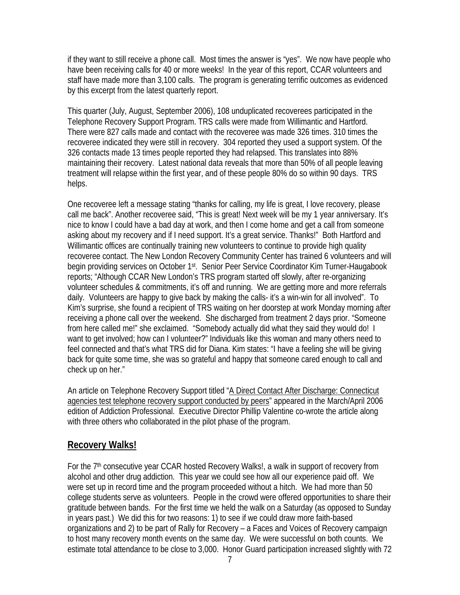if they want to still receive a phone call. Most times the answer is "yes". We now have people who have been receiving calls for 40 or more weeks! In the year of this report, CCAR volunteers and staff have made more than 3,100 calls. The program is generating terrific outcomes as evidenced by this excerpt from the latest quarterly report.

This quarter (July, August, September 2006), 108 unduplicated recoverees participated in the Telephone Recovery Support Program. TRS calls were made from Willimantic and Hartford. There were 827 calls made and contact with the recoveree was made 326 times. 310 times the recoveree indicated they were still in recovery. 304 reported they used a support system. Of the 326 contacts made 13 times people reported they had relapsed. This translates into 88% maintaining their recovery. Latest national data reveals that more than 50% of all people leaving treatment will relapse within the first year, and of these people 80% do so within 90 days. TRS helps.

One recoveree left a message stating "thanks for calling, my life is great, I love recovery, please call me back". Another recoveree said, "This is great! Next week will be my 1 year anniversary. It's nice to know I could have a bad day at work, and then I come home and get a call from someone asking about my recovery and if I need support. It's a great service. Thanks!" Both Hartford and Willimantic offices are continually training new volunteers to continue to provide high quality recoveree contact. The New London Recovery Community Center has trained 6 volunteers and will begin providing services on October 1st. Senior Peer Service Coordinator Kim Turner-Haugabook reports; "Although CCAR New London's TRS program started off slowly, after re-organizing volunteer schedules & commitments, it's off and running. We are getting more and more referrals daily. Volunteers are happy to give back by making the calls- it's a win-win for all involved". To Kim's surprise, she found a recipient of TRS waiting on her doorstep at work Monday morning after receiving a phone call over the weekend. She discharged from treatment 2 days prior. "Someone from here called me!" she exclaimed. "Somebody actually did what they said they would do! I want to get involved; how can I volunteer?" Individuals like this woman and many others need to feel connected and that's what TRS did for Diana. Kim states: "I have a feeling she will be giving back for quite some time, she was so grateful and happy that someone cared enough to call and check up on her."

An article on Telephone Recovery Support titled "A Direct Contact After Discharge: Connecticut agencies test telephone recovery support conducted by peers" appeared in the March/April 2006 edition of Addiction Professional. Executive Director Phillip Valentine co-wrote the article along with three others who collaborated in the pilot phase of the program.

## **Recovery Walks!**

For the 7<sup>th</sup> consecutive year CCAR hosted Recovery Walks!, a walk in support of recovery from alcohol and other drug addiction. This year we could see how all our experience paid off. We were set up in record time and the program proceeded without a hitch. We had more than 50 college students serve as volunteers. People in the crowd were offered opportunities to share their gratitude between bands. For the first time we held the walk on a Saturday (as opposed to Sunday in years past.) We did this for two reasons: 1) to see if we could draw more faith-based organizations and 2) to be part of Rally for Recovery – a Faces and Voices of Recovery campaign to host many recovery month events on the same day. We were successful on both counts. We estimate total attendance to be close to 3,000. Honor Guard participation increased slightly with 72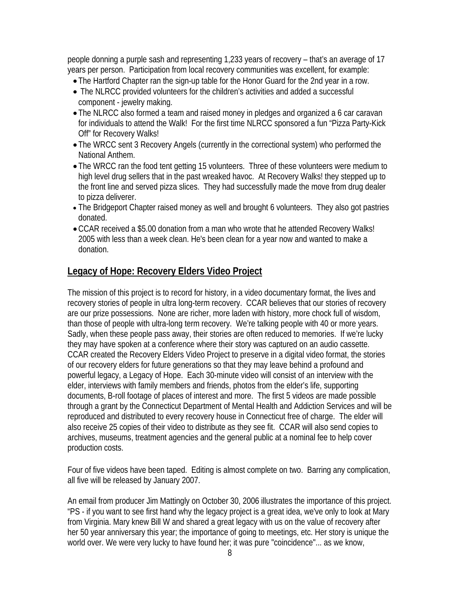people donning a purple sash and representing 1,233 years of recovery – that's an average of 17 years per person. Participation from local recovery communities was excellent, for example:

- The Hartford Chapter ran the sign-up table for the Honor Guard for the 2nd year in a row.
- The NLRCC provided volunteers for the children's activities and added a successful component - jewelry making.
- The NLRCC also formed a team and raised money in pledges and organized a 6 car caravan for individuals to attend the Walk! For the first time NLRCC sponsored a fun "Pizza Party-Kick Off" for Recovery Walks!
- The WRCC sent 3 Recovery Angels (currently in the correctional system) who performed the National Anthem.
- The WRCC ran the food tent getting 15 volunteers. Three of these volunteers were medium to high level drug sellers that in the past wreaked havoc. At Recovery Walks! they stepped up to the front line and served pizza slices. They had successfully made the move from drug dealer to pizza deliverer.
- The Bridgeport Chapter raised money as well and brought 6 volunteers. They also got pastries donated.
- CCAR received a \$5.00 donation from a man who wrote that he attended Recovery Walks! 2005 with less than a week clean. He's been clean for a year now and wanted to make a donation.

#### **Legacy of Hope: Recovery Elders Video Project**

The mission of this project is to record for history, in a video documentary format, the lives and recovery stories of people in ultra long-term recovery. CCAR believes that our stories of recovery are our prize possessions. None are richer, more laden with history, more chock full of wisdom, than those of people with ultra-long term recovery. We're talking people with 40 or more years. Sadly, when these people pass away, their stories are often reduced to memories. If we're lucky they may have spoken at a conference where their story was captured on an audio cassette. CCAR created the Recovery Elders Video Project to preserve in a digital video format, the stories of our recovery elders for future generations so that they may leave behind a profound and powerful legacy, a Legacy of Hope. Each 30-minute video will consist of an interview with the elder, interviews with family members and friends, photos from the elder's life, supporting documents, B-roll footage of places of interest and more. The first 5 videos are made possible through a grant by the Connecticut Department of Mental Health and Addiction Services and will be reproduced and distributed to every recovery house in Connecticut free of charge. The elder will also receive 25 copies of their video to distribute as they see fit. CCAR will also send copies to archives, museums, treatment agencies and the general public at a nominal fee to help cover production costs.

Four of five videos have been taped. Editing is almost complete on two. Barring any complication, all five will be released by January 2007.

An email from producer Jim Mattingly on October 30, 2006 illustrates the importance of this project. "PS - if you want to see first hand why the legacy project is a great idea, we've only to look at Mary from Virginia. Mary knew Bill W and shared a great legacy with us on the value of recovery after her 50 year anniversary this year; the importance of going to meetings, etc. Her story is unique the world over. We were very lucky to have found her; it was pure "coincidence"... as we know,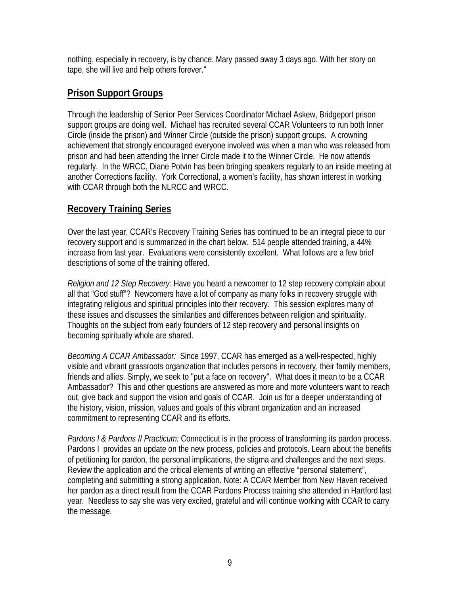nothing, especially in recovery, is by chance. Mary passed away 3 days ago. With her story on tape, she will live and help others forever."

#### **Prison Support Groups**

Through the leadership of Senior Peer Services Coordinator Michael Askew, Bridgeport prison support groups are doing well. Michael has recruited several CCAR Volunteers to run both Inner Circle (inside the prison) and Winner Circle (outside the prison) support groups. A crowning achievement that strongly encouraged everyone involved was when a man who was released from prison and had been attending the Inner Circle made it to the Winner Circle. He now attends regularly. In the WRCC, Diane Potvin has been bringing speakers regularly to an inside meeting at another Corrections facility. York Correctional, a women's facility, has shown interest in working with CCAR through both the NLRCC and WRCC.

#### **Recovery Training Series**

Over the last year, CCAR's Recovery Training Series has continued to be an integral piece to our recovery support and is summarized in the chart below. 514 people attended training, a 44% increase from last year. Evaluations were consistently excellent. What follows are a few brief descriptions of some of the training offered.

*Religion and 12 Step Recovery:* Have you heard a newcomer to 12 step recovery complain about all that "God stuff"? Newcomers have a lot of company as many folks in recovery struggle with integrating religious and spiritual principles into their recovery. This session explores many of these issues and discusses the similarities and differences between religion and spirituality. Thoughts on the subject from early founders of 12 step recovery and personal insights on becoming spiritually whole are shared.

*Becoming A CCAR Ambassador:* Since 1997, CCAR has emerged as a well-respected, highly visible and vibrant grassroots organization that includes persons in recovery, their family members, friends and allies. Simply, we seek to "put a face on recovery". What does it mean to be a CCAR Ambassador? This and other questions are answered as more and more volunteers want to reach out, give back and support the vision and goals of CCAR. Join us for a deeper understanding of the history, vision, mission, values and goals of this vibrant organization and an increased commitment to representing CCAR and its efforts.

*Pardons I & Pardons II Practicum:* Connecticut is in the process of transforming its pardon process. Pardons I provides an update on the new process, policies and protocols. Learn about the benefits of petitioning for pardon, the personal implications, the stigma and challenges and the next steps. Review the application and the critical elements of writing an effective "personal statement", completing and submitting a strong application. Note: A CCAR Member from New Haven received her pardon as a direct result from the CCAR Pardons Process training she attended in Hartford last year. Needless to say she was very excited, grateful and will continue working with CCAR to carry the message.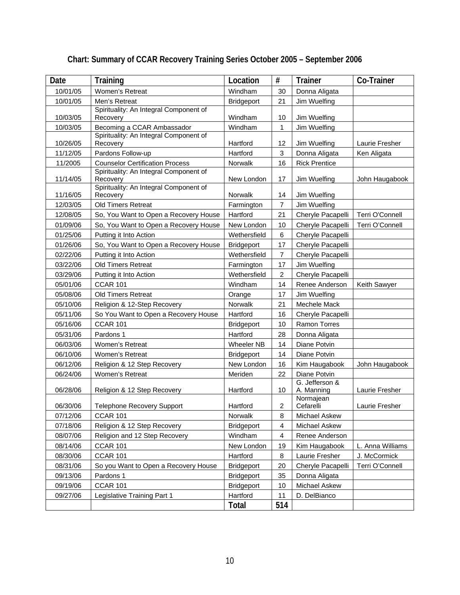| Date     | Training                                           | Location          | #                       | <b>Trainer</b>               | Co-Trainer       |
|----------|----------------------------------------------------|-------------------|-------------------------|------------------------------|------------------|
| 10/01/05 | <b>Women's Retreat</b>                             | Windham           | 30                      | Donna Aligata                |                  |
| 10/01/05 | Men's Retreat                                      | <b>Bridgeport</b> | 21                      | Jim Wuelfing                 |                  |
| 10/03/05 | Spirituality: An Integral Component of<br>Recovery | Windham           | 10                      | Jim Wuelfing                 |                  |
| 10/03/05 | Becoming a CCAR Ambassador                         | Windham           | 1                       | Jim Wuelfing                 |                  |
| 10/26/05 | Spirituality: An Integral Component of<br>Recovery | Hartford          | 12                      | Jim Wuelfing                 | Laurie Fresher   |
| 11/12/05 | Pardons Follow-up                                  | Hartford          | 3                       | Donna Aligata                | Ken Aligata      |
| 11/2005  | <b>Counselor Certification Process</b>             | Norwalk           | 16                      | <b>Rick Prentice</b>         |                  |
| 11/14/05 | Spirituality: An Integral Component of<br>Recovery | New London        | 17                      | Jim Wuelfing                 | John Haugabook   |
| 11/16/05 | Spirituality: An Integral Component of<br>Recovery | Norwalk           | 14                      | Jim Wuelfing                 |                  |
| 12/03/05 | <b>Old Timers Retreat</b>                          | Farmington        | $\overline{7}$          | Jim Wuelfing                 |                  |
| 12/08/05 | So, You Want to Open a Recovery House              | Hartford          | 21                      | Cheryle Pacapelli            | Terri O'Connell  |
| 01/09/06 | So, You Want to Open a Recovery House              | New London        | 10                      | Cheryle Pacapelli            | Terri O'Connell  |
| 01/25/06 | Putting it Into Action                             | Wethersfield      | 6                       | Cheryle Pacapelli            |                  |
| 01/26/06 | So, You Want to Open a Recovery House              | <b>Bridgeport</b> | 17                      | Cheryle Pacapelli            |                  |
| 02/22/06 | Putting it Into Action                             | Wethersfield      | 7                       | Cheryle Pacapelli            |                  |
| 03/22/06 | <b>Old Timers Retreat</b>                          | Farmington        | 17                      | Jim Wuelfing                 |                  |
| 03/29/06 | Putting it Into Action                             | Wethersfield      | $\overline{\mathbf{c}}$ | Cheryle Pacapelli            |                  |
| 05/01/06 | <b>CCAR 101</b>                                    | Windham           | 14                      | Renee Anderson               | Keith Sawyer     |
| 05/08/06 | <b>Old Timers Retreat</b>                          | Orange            | 17                      | Jim Wuelfing                 |                  |
| 05/10/06 | Religion & 12-Step Recovery                        | Norwalk           | 21                      | Mechele Mack                 |                  |
| 05/11/06 | So You Want to Open a Recovery House               | Hartford          | 16                      | Cheryle Pacapelli            |                  |
| 05/16/06 | <b>CCAR 101</b>                                    | <b>Bridgeport</b> | 10                      | <b>Ramon Torres</b>          |                  |
| 05/31/06 | Pardons 1                                          | Hartford          | 28                      | Donna Aligata                |                  |
| 06/03/06 | Women's Retreat                                    | <b>Wheeler NB</b> | 14                      | Diane Potvin                 |                  |
| 06/10/06 | Women's Retreat                                    | <b>Bridgeport</b> | 14                      | Diane Potvin                 |                  |
| 06/12/06 | Religion & 12 Step Recovery                        | New London        | 16                      | Kim Haugabook                | John Haugabook   |
| 06/24/06 | Women's Retreat                                    | Meriden           | 22                      | Diane Potvin                 |                  |
| 06/28/06 | Religion & 12 Step Recovery                        | Hartford          | 10                      | G. Jefferson &<br>A. Manning | Laurie Fresher   |
| 06/30/06 | <b>Telephone Recovery Support</b>                  | Hartford          | $\overline{\mathbf{c}}$ | Normajean<br>Cefarelli       | Laurie Fresher   |
| 07/12/06 | <b>CCAR 101</b>                                    | Norwalk           | 8                       | Michael Askew                |                  |
| 07/18/06 | Religion & 12 Step Recovery                        | <b>Bridgeport</b> | 4                       | Michael Askew                |                  |
| 08/07/06 | Religion and 12 Step Recovery                      | Windham           | 4                       | Renee Anderson               |                  |
| 08/14/06 | <b>CCAR 101</b>                                    | New London        | 19                      | Kim Haugabook                | L. Anna Williams |
| 08/30/06 | <b>CCAR 101</b>                                    | Hartford          | 8                       | Laurie Fresher               | J. McCormick     |
| 08/31/06 | So you Want to Open a Recovery House               | <b>Bridgeport</b> | 20                      | Cheryle Pacapelli            | Terri O'Connell  |
| 09/13/06 | Pardons 1                                          | <b>Bridgeport</b> | 35                      | Donna Aligata                |                  |
| 09/19/06 | <b>CCAR 101</b>                                    | <b>Bridgeport</b> | 10                      | Michael Askew                |                  |
| 09/27/06 | Legislative Training Part 1                        | Hartford          | 11                      | D. DelBianco                 |                  |
|          |                                                    | Total             | 514                     |                              |                  |

# **Chart: Summary of CCAR Recovery Training Series October 2005 – September 2006**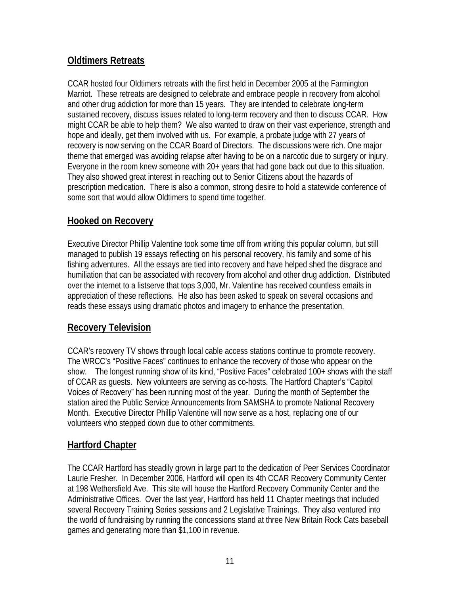## **Oldtimers Retreats**

CCAR hosted four Oldtimers retreats with the first held in December 2005 at the Farmington Marriot. These retreats are designed to celebrate and embrace people in recovery from alcohol and other drug addiction for more than 15 years. They are intended to celebrate long-term sustained recovery, discuss issues related to long-term recovery and then to discuss CCAR. How might CCAR be able to help them? We also wanted to draw on their vast experience, strength and hope and ideally, get them involved with us. For example, a probate judge with 27 years of recovery is now serving on the CCAR Board of Directors. The discussions were rich. One major theme that emerged was avoiding relapse after having to be on a narcotic due to surgery or injury. Everyone in the room knew someone with 20+ years that had gone back out due to this situation. They also showed great interest in reaching out to Senior Citizens about the hazards of prescription medication. There is also a common, strong desire to hold a statewide conference of some sort that would allow Oldtimers to spend time together.

## **Hooked on Recovery**

Executive Director Phillip Valentine took some time off from writing this popular column, but still managed to publish 19 essays reflecting on his personal recovery, his family and some of his fishing adventures. All the essays are tied into recovery and have helped shed the disgrace and humiliation that can be associated with recovery from alcohol and other drug addiction. Distributed over the internet to a listserve that tops 3,000, Mr. Valentine has received countless emails in appreciation of these reflections. He also has been asked to speak on several occasions and reads these essays using dramatic photos and imagery to enhance the presentation.

## **Recovery Television**

CCAR's recovery TV shows through local cable access stations continue to promote recovery. The WRCC's "Positive Faces" continues to enhance the recovery of those who appear on the show. The longest running show of its kind, "Positive Faces" celebrated 100+ shows with the staff of CCAR as guests. New volunteers are serving as co-hosts. The Hartford Chapter's "Capitol Voices of Recovery" has been running most of the year. During the month of September the station aired the Public Service Announcements from SAMSHA to promote National Recovery Month. Executive Director Phillip Valentine will now serve as a host, replacing one of our volunteers who stepped down due to other commitments.

## **Hartford Chapter**

The CCAR Hartford has steadily grown in large part to the dedication of Peer Services Coordinator Laurie Fresher. In December 2006, Hartford will open its 4th CCAR Recovery Community Center at 198 Wethersfield Ave. This site will house the Hartford Recovery Community Center and the Administrative Offices. Over the last year, Hartford has held 11 Chapter meetings that included several Recovery Training Series sessions and 2 Legislative Trainings. They also ventured into the world of fundraising by running the concessions stand at three New Britain Rock Cats baseball games and generating more than \$1,100 in revenue.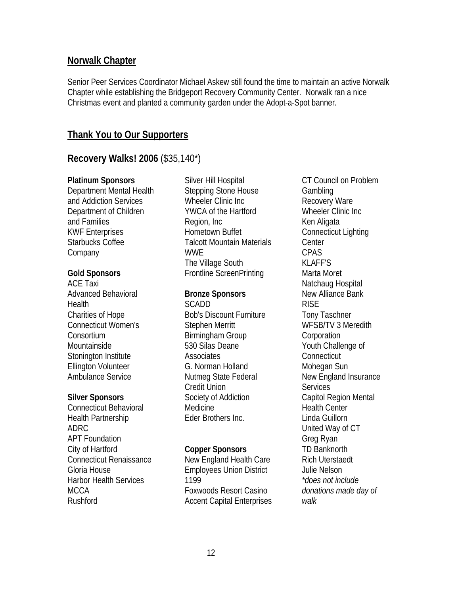#### **Norwalk Chapter**

Senior Peer Services Coordinator Michael Askew still found the time to maintain an active Norwalk Chapter while establishing the Bridgeport Recovery Community Center. Norwalk ran a nice Christmas event and planted a community garden under the Adopt-a-Spot banner.

#### **Thank You to Our Supporters**

#### **Recovery Walks! 2006** (\$35,140\*)

#### **Platinum Sponsors**

Department Mental Health and Addiction Services Department of Children and Families KWF Enterprises Starbucks Coffee **Company** 

#### **Gold Sponsors**

ACE Taxi Advanced Behavioral **Health** Charities of Hope Connecticut Women's Consortium Mountainside Stonington Institute Ellington Volunteer Ambulance Service

#### **Silver Sponsors**

Connecticut Behavioral Health Partnership ADRC APT Foundation City of Hartford Connecticut Renaissance Gloria House Harbor Health Services MCCA Rushford

Silver Hill Hospital Stepping Stone House Wheeler Clinic Inc YWCA of the Hartford Region, Inc Hometown Buffet Talcott Mountain Materials **WWF** The Village South Frontline ScreenPrinting

#### **Bronze Sponsors**

SCADD Bob's Discount Furniture Stephen Merritt Birmingham Group 530 Silas Deane Associates G. Norman Holland Nutmeg State Federal Credit Union Society of Addiction Medicine Eder Brothers Inc.

#### **Copper Sponsors**

New England Health Care Employees Union District 1199 Foxwoods Resort Casino Accent Capital Enterprises

CT Council on Problem Gambling Recovery Ware Wheeler Clinic Inc Ken Aligata Connecticut Lighting Center CPAS KLAFF'S Marta Moret Natchaug Hospital New Alliance Bank RISE Tony Taschner WFSB/TV 3 Meredith **Corporation** Youth Challenge of **Connecticut** Mohegan Sun New England Insurance **Services** Capitol Region Mental Health Center Linda Guillorn United Way of CT Greg Ryan TD Banknorth Rich Uterstaedt Julie Nelson *\*does not include donations made day of walk*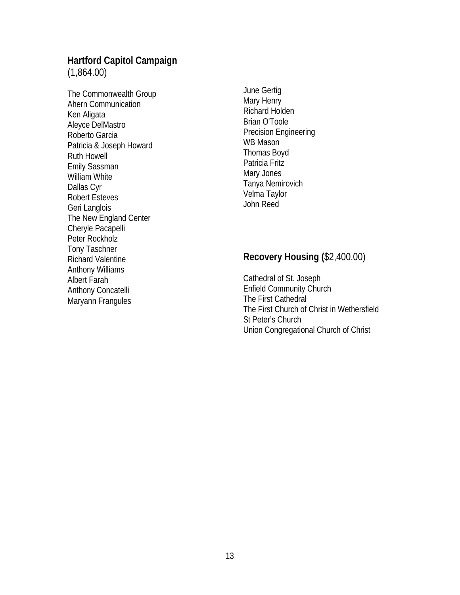# **Hartford Capitol Campaign**

(1,864.00)

The Commonwealth Group Ahern Communication Ken Aligata Aleyce DelMastro Roberto Garcia Patricia & Joseph Howard Ruth Howell Emily Sassman William White Dallas Cyr Robert Esteves Geri Langlois The New England Center Cheryle Pacapelli Peter Rockholz Tony Taschner Richard Valentine Anthony Williams Albert Farah Anthony Concatelli Maryann Frangules

June Gertig Mary Henry Richard Holden Brian O'Toole Precision Engineering WB Mason Thomas Boyd Patricia Fritz Mary Jones Tanya Nemirovich Velma Taylor John Reed

## **Recovery Housing (**\$2,400.00)

Cathedral of St. Joseph Enfield Community Church The First Cathedral The First Church of Christ in Wethersfield St Peter's Church Union Congregational Church of Christ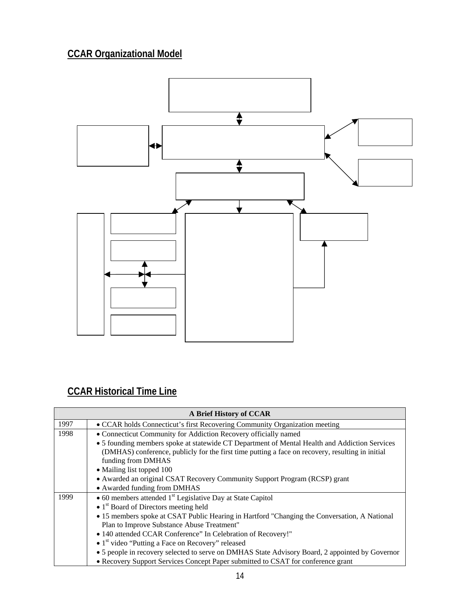# **CCAR Organizational Model**



# **CCAR Historical Time Line**

|      | A Brief History of CCAR                                                                          |
|------|--------------------------------------------------------------------------------------------------|
| 1997 | • CCAR holds Connecticut's first Recovering Community Organization meeting                       |
| 1998 | • Connecticut Community for Addiction Recovery officially named                                  |
|      | • 5 founding members spoke at statewide CT Department of Mental Health and Addiction Services    |
|      | (DMHAS) conference, publicly for the first time putting a face on recovery, resulting in initial |
|      | funding from DMHAS                                                                               |
|      | • Mailing list topped 100                                                                        |
|      | • Awarded an original CSAT Recovery Community Support Program (RCSP) grant                       |
|      | • Awarded funding from DMHAS                                                                     |
| 1999 | $\bullet$ 60 members attended 1 <sup>st</sup> Legislative Day at State Capitol                   |
|      | $\bullet$ 1 <sup>st</sup> Board of Directors meeting held                                        |
|      | • 15 members spoke at CSAT Public Hearing in Hartford "Changing the Conversation, A National     |
|      | Plan to Improve Substance Abuse Treatment"                                                       |
|      | • 140 attended CCAR Conference" In Celebration of Recovery!"                                     |
|      | $\bullet$ 1 <sup>st</sup> video "Putting a Face on Recovery" released                            |
|      | • 5 people in recovery selected to serve on DMHAS State Advisory Board, 2 appointed by Governor  |
|      | • Recovery Support Services Concept Paper submitted to CSAT for conference grant                 |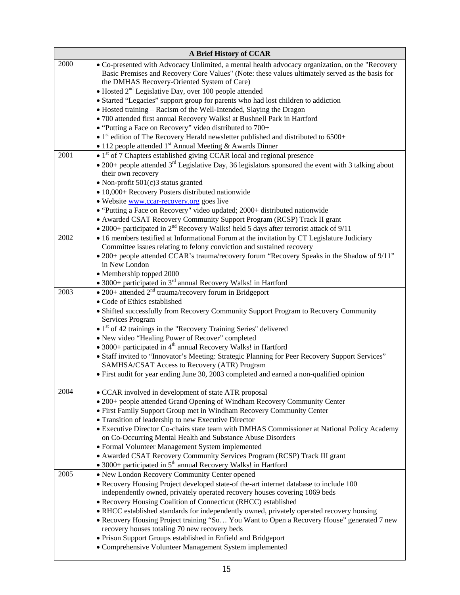|      | A Brief History of CCAR                                                                                                                                                                                                                                                                                               |
|------|-----------------------------------------------------------------------------------------------------------------------------------------------------------------------------------------------------------------------------------------------------------------------------------------------------------------------|
| 2000 | • Co-presented with Advocacy Unlimited, a mental health advocacy organization, on the "Recovery<br>Basic Premises and Recovery Core Values" (Note: these values ultimately served as the basis for<br>the DMHAS Recovery-Oriented System of Care)<br>$\bullet$ Hosted $2nd$ Legislative Day, over 100 people attended |
|      | • Started "Legacies" support group for parents who had lost children to addiction<br>· Hosted training - Racism of the Well-Intended, Slaying the Dragon                                                                                                                                                              |
|      | · 700 attended first annual Recovery Walks! at Bushnell Park in Hartford                                                                                                                                                                                                                                              |
|      | • "Putting a Face on Recovery" video distributed to 700+                                                                                                                                                                                                                                                              |
|      | $\bullet$ 1 <sup>st</sup> edition of The Recovery Herald newsletter published and distributed to 6500+                                                                                                                                                                                                                |
|      | • 112 people attended $1st$ Annual Meeting & Awards Dinner                                                                                                                                                                                                                                                            |
| 2001 | $\bullet$ 1 <sup>st</sup> of 7 Chapters established giving CCAR local and regional presence<br>• 200+ people attended $3rd$ Legislative Day, 36 legislators sponsored the event with 3 talking about<br>their own recovery                                                                                            |
|      | $\bullet$ Non-profit 501(c)3 status granted                                                                                                                                                                                                                                                                           |
|      | • 10,000+ Recovery Posters distributed nationwide                                                                                                                                                                                                                                                                     |
|      | • Website www.ccar-recovery.org goes live                                                                                                                                                                                                                                                                             |
|      | • "Putting a Face on Recovery" video updated; 2000+ distributed nationwide                                                                                                                                                                                                                                            |
|      | • Awarded CSAT Recovery Community Support Program (RCSP) Track II grant                                                                                                                                                                                                                                               |
| 2002 | • 2000+ participated in $2^{nd}$ Recovery Walks! held 5 days after terrorist attack of $9/11$<br>• 16 members testified at Informational Forum at the invitation by CT Legislature Judiciary                                                                                                                          |
|      | Committee issues relating to felony conviction and sustained recovery                                                                                                                                                                                                                                                 |
|      | • 200+ people attended CCAR's trauma/recovery forum "Recovery Speaks in the Shadow of 9/11"<br>in New London                                                                                                                                                                                                          |
|      | • Membership topped 2000                                                                                                                                                                                                                                                                                              |
| 2003 | • 3000+ participated in 3 <sup>rd</sup> annual Recovery Walks! in Hartford                                                                                                                                                                                                                                            |
|      | • 200+ attended $2^{nd}$ trauma/recovery forum in Bridgeport<br>• Code of Ethics established<br>• Shifted successfully from Recovery Community Support Program to Recovery Community<br>Services Program                                                                                                              |
|      | $\bullet$ 1 <sup>st</sup> of 42 trainings in the "Recovery Training Series" delivered<br>• New video "Healing Power of Recover" completed                                                                                                                                                                             |
|      | • 3000+ participated in $4th$ annual Recovery Walks! in Hartford                                                                                                                                                                                                                                                      |
|      | • Staff invited to "Innovator's Meeting: Strategic Planning for Peer Recovery Support Services"<br>SAMHSA/CSAT Access to Recovery (ATR) Program                                                                                                                                                                       |
|      | • First audit for year ending June 30, 2003 completed and earned a non-qualified opinion                                                                                                                                                                                                                              |
| 2004 | • CCAR involved in development of state ATR proposal<br>• 200+ people attended Grand Opening of Windham Recovery Community Center                                                                                                                                                                                     |
|      | • First Family Support Group met in Windham Recovery Community Center                                                                                                                                                                                                                                                 |
|      | • Transition of leadership to new Executive Director<br>• Executive Director Co-chairs state team with DMHAS Commissioner at National Policy Academy                                                                                                                                                                  |
|      | on Co-Occurring Mental Health and Substance Abuse Disorders                                                                                                                                                                                                                                                           |
|      | • Formal Volunteer Management System implemented<br>• Awarded CSAT Recovery Community Services Program (RCSP) Track III grant                                                                                                                                                                                         |
|      | • 3000+ participated in $5th$ annual Recovery Walks! in Hartford                                                                                                                                                                                                                                                      |
| 2005 | • New London Recovery Community Center opened                                                                                                                                                                                                                                                                         |
|      | • Recovery Housing Project developed state-of the-art internet database to include 100                                                                                                                                                                                                                                |
|      | independently owned, privately operated recovery houses covering 1069 beds                                                                                                                                                                                                                                            |
|      | • Recovery Housing Coalition of Connecticut (RHCC) established                                                                                                                                                                                                                                                        |
|      | • RHCC established standards for independently owned, privately operated recovery housing<br>• Recovery Housing Project training "So You Want to Open a Recovery House" generated 7 new<br>recovery houses totaling 70 new recovery beds                                                                              |
|      | • Prison Support Groups established in Enfield and Bridgeport                                                                                                                                                                                                                                                         |
|      | • Comprehensive Volunteer Management System implemented                                                                                                                                                                                                                                                               |
|      |                                                                                                                                                                                                                                                                                                                       |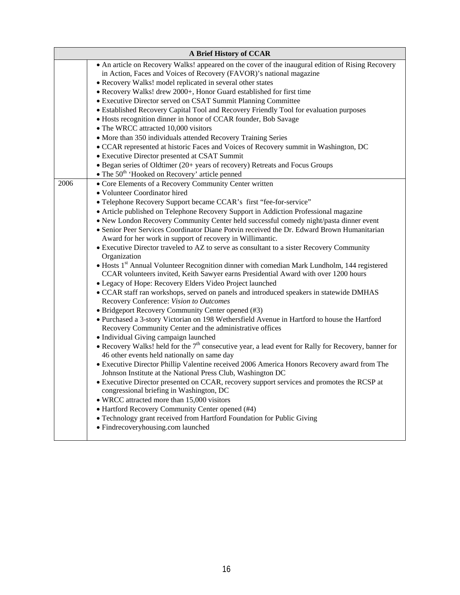|      | A Brief History of CCAR                                                                                                                                                                        |
|------|------------------------------------------------------------------------------------------------------------------------------------------------------------------------------------------------|
|      | • An article on Recovery Walks! appeared on the cover of the inaugural edition of Rising Recovery<br>in Action, Faces and Voices of Recovery (FAVOR)'s national magazine                       |
|      | • Recovery Walks! model replicated in several other states                                                                                                                                     |
|      | • Recovery Walks! drew 2000+, Honor Guard established for first time                                                                                                                           |
|      | • Executive Director served on CSAT Summit Planning Committee                                                                                                                                  |
|      | • Established Recovery Capital Tool and Recovery Friendly Tool for evaluation purposes                                                                                                         |
|      | • Hosts recognition dinner in honor of CCAR founder, Bob Savage                                                                                                                                |
|      | • The WRCC attracted 10,000 visitors                                                                                                                                                           |
|      | • More than 350 individuals attended Recovery Training Series                                                                                                                                  |
|      | • CCAR represented at historic Faces and Voices of Recovery summit in Washington, DC                                                                                                           |
|      | • Executive Director presented at CSAT Summit                                                                                                                                                  |
|      | • Began series of Oldtimer (20+ years of recovery) Retreats and Focus Groups                                                                                                                   |
|      | • The $50th$ 'Hooked on Recovery' article penned                                                                                                                                               |
| 2006 | • Core Elements of a Recovery Community Center written                                                                                                                                         |
|      | · Volunteer Coordinator hired                                                                                                                                                                  |
|      | • Telephone Recovery Support became CCAR's first "fee-for-service"                                                                                                                             |
|      | • Article published on Telephone Recovery Support in Addiction Professional magazine                                                                                                           |
|      | • New London Recovery Community Center held successful comedy night/pasta dinner event                                                                                                         |
|      | • Senior Peer Services Coordinator Diane Potvin received the Dr. Edward Brown Humanitarian<br>Award for her work in support of recovery in Willimantic.                                        |
|      | • Executive Director traveled to AZ to serve as consultant to a sister Recovery Community<br>Organization                                                                                      |
|      | • Hosts 1 <sup>st</sup> Annual Volunteer Recognition dinner with comedian Mark Lundholm, 144 registered<br>CCAR volunteers invited, Keith Sawyer earns Presidential Award with over 1200 hours |
|      | • Legacy of Hope: Recovery Elders Video Project launched                                                                                                                                       |
|      | • CCAR staff ran workshops, served on panels and introduced speakers in statewide DMHAS<br>Recovery Conference: Vision to Outcomes                                                             |
|      | • Bridgeport Recovery Community Center opened (#3)                                                                                                                                             |
|      | • Purchased a 3-story Victorian on 198 Wethersfield Avenue in Hartford to house the Hartford<br>Recovery Community Center and the administrative offices                                       |
|      | • Individual Giving campaign launched                                                                                                                                                          |
|      | • Recovery Walks! held for the 7 <sup>th</sup> consecutive year, a lead event for Rally for Recovery, banner for<br>46 other events held nationally on same day                                |
|      | • Executive Director Phillip Valentine received 2006 America Honors Recovery award from The<br>Johnson Institute at the National Press Club, Washington DC                                     |
|      | • Executive Director presented on CCAR, recovery support services and promotes the RCSP at<br>congressional briefing in Washington, DC                                                         |
|      | • WRCC attracted more than 15,000 visitors                                                                                                                                                     |
|      | • Hartford Recovery Community Center opened (#4)                                                                                                                                               |
|      | • Technology grant received from Hartford Foundation for Public Giving                                                                                                                         |
|      | • Findrecoveryhousing.com launched                                                                                                                                                             |
|      |                                                                                                                                                                                                |